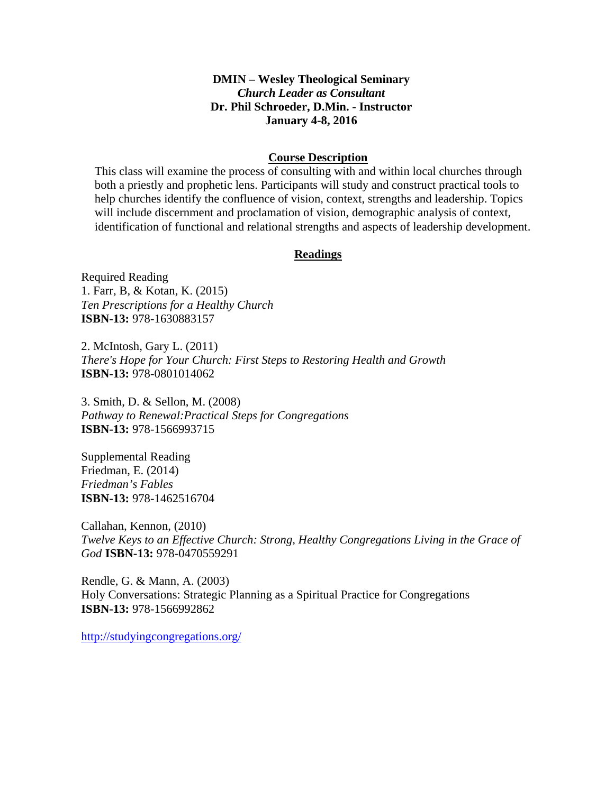# **DMIN – Wesley Theological Seminary**  *Church Leader as Consultant* **Dr. Phil Schroeder, D.Min. - Instructor January 4-8, 2016**

### **Course Description**

This class will examine the process of consulting with and within local churches through both a priestly and prophetic lens. Participants will study and construct practical tools to help churches identify the confluence of vision, context, strengths and leadership. Topics will include discernment and proclamation of vision, demographic analysis of context, identification of functional and relational strengths and aspects of leadership development.

### **Readings**

Required Reading 1. Farr, B, & Kotan, K. (2015) *Ten Prescriptions for a Healthy Church*  **ISBN-13:** 978-1630883157

2. McIntosh, Gary L. (2011) *There's Hope for Your Church: First Steps to Restoring Health and Growth*  **ISBN-13:** 978-0801014062

3. Smith, D. & Sellon, M. (2008) *Pathway to Renewal:Practical Steps for Congregations*  **ISBN-13:** 978-1566993715

Supplemental Reading Friedman, E. (2014) *Friedman's Fables*  **ISBN-13:** 978-1462516704

Callahan, Kennon, (2010) *Twelve Keys to an Effective Church: Strong, Healthy Congregations Living in the Grace of God* **ISBN-13:** 978-0470559291

Rendle, G. & Mann, A. (2003) Holy Conversations: Strategic Planning as a Spiritual Practice for Congregations **ISBN-13:** 978-1566992862

http://studyingcongregations.org/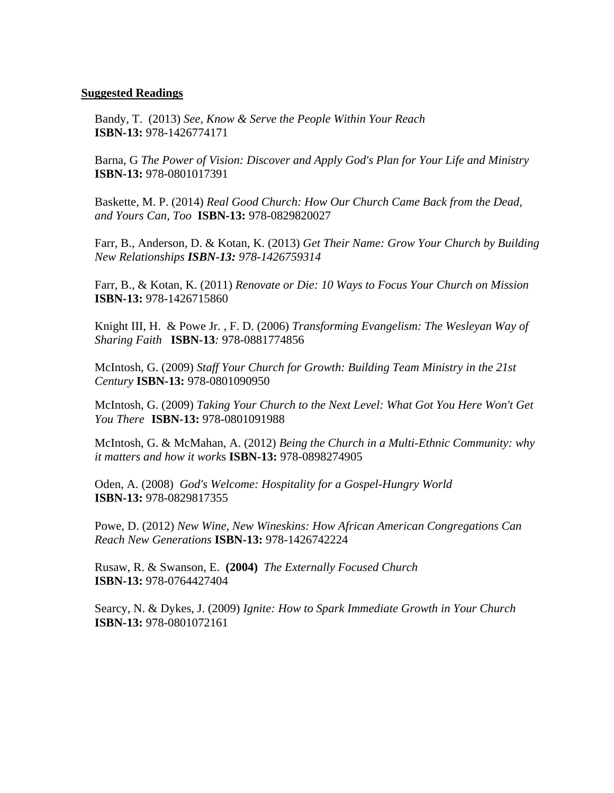#### **Suggested Readings**

Bandy, T. (2013) *See, Know & Serve the People Within Your Reach* **ISBN-13:** 978-1426774171

Barna, G *The Power of Vision: Discover and Apply God's Plan for Your Life and Ministry* **ISBN-13:** 978-0801017391

Baskette, M. P. (2014) *Real Good Church: How Our Church Came Back from the Dead, and Yours Can, Too* **ISBN-13:** 978-0829820027

Farr, B., Anderson, D. & Kotan, K. (2013) *Get Their Name: Grow Your Church by Building New Relationships ISBN-13: 978-1426759314* 

Farr, B., & Kotan, K. (2011) *Renovate or Die: 10 Ways to Focus Your Church on Mission* **ISBN-13:** 978-1426715860

Knight III, H. & Powe Jr. , F. D. (2006) *Transforming Evangelism: The Wesleyan Way of Sharing Faith* **ISBN-13***:* 978-0881774856

McIntosh, G. (2009) *Staff Your Church for Growth: Building Team Ministry in the 21st Century* **ISBN-13:** 978-0801090950

McIntosh, G. (2009) *Taking Your Church to the Next Level: What Got You Here Won't Get You There* **ISBN-13:** 978-0801091988

 McIntosh, G. & McMahan, A. (2012) *Being the Church in a Multi-Ethnic Community: why it matters and how it work*s **ISBN-13:** 978-0898274905

Oden, A. (2008) *God's Welcome: Hospitality for a Gospel-Hungry World* **ISBN-13:** 978-0829817355

Powe, D. (2012) *New Wine, New Wineskins: How African American Congregations Can Reach New Generations* **ISBN-13:** 978-1426742224

Rusaw, R. & Swanson, E. **(2004)** *The Externally Focused Church*  **ISBN-13:** 978-0764427404

Searcy, N. & Dykes, J. (2009) *Ignite: How to Spark Immediate Growth in Your Church* **ISBN-13:** 978-0801072161